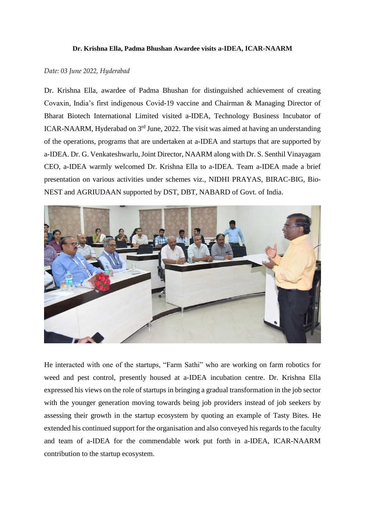## **Dr. Krishna Ella, Padma Bhushan Awardee visits a-IDEA, ICAR-NAARM**

## *Date: 03 June 2022, Hyderabad*

Dr. Krishna Ella, awardee of Padma Bhushan for distinguished achievement of creating Covaxin, India's first indigenous Covid-19 vaccine and Chairman & Managing Director of Bharat Biotech International Limited visited a-IDEA, Technology Business Incubator of ICAR-NAARM, Hyderabad on  $3<sup>rd</sup>$  June, 2022. The visit was aimed at having an understanding of the operations, programs that are undertaken at a-IDEA and startups that are supported by a-IDEA. Dr. G. Venkateshwarlu, Joint Director, NAARM along with Dr. S. Senthil Vinayagam CEO, a-IDEA warmly welcomed Dr. Krishna Ella to a-IDEA. Team a-IDEA made a brief presentation on various activities under schemes viz., NIDHI PRAYAS, BIRAC-BIG, Bio-NEST and AGRIUDAAN supported by DST, DBT, NABARD of Govt. of India.



He interacted with one of the startups, "Farm Sathi" who are working on farm robotics for weed and pest control, presently housed at a-IDEA incubation centre. Dr. Krishna Ella expressed his views on the role of startups in bringing a gradual transformation in the job sector with the younger generation moving towards being job providers instead of job seekers by assessing their growth in the startup ecosystem by quoting an example of Tasty Bites. He extended his continued support for the organisation and also conveyed his regards to the faculty and team of a-IDEA for the commendable work put forth in a-IDEA, ICAR-NAARM contribution to the startup ecosystem.